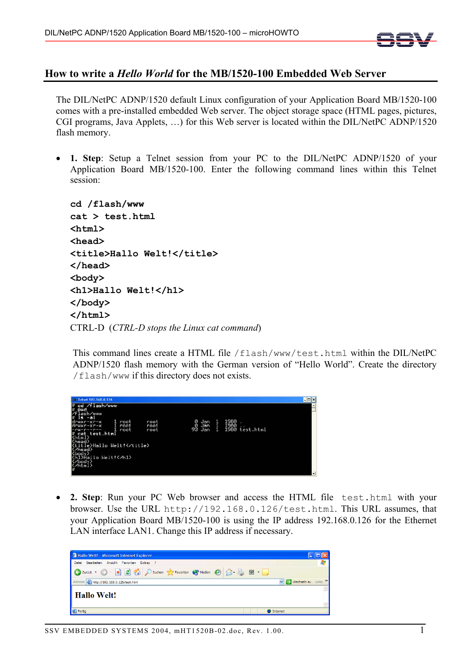

## **How to write a** *Hello World* **for the MB/1520-100 Embedded Web Server**

The DIL/NetPC ADNP/1520 default Linux configuration of your Application Board MB/1520-100 comes with a pre-installed embedded Web server. The object storage space (HTML pages, pictures, CGI programs, Java Applets, …) for this Web server is located within the DIL/NetPC ADNP/1520 flash memory.

1. Step: Setup a Telnet session from your PC to the DIL/NetPC ADNP/1520 of your Application Board MB/1520-100. Enter the following command lines within this Telnet session:

```
cd /flash/www 
cat > test.html 
<html> 
<head> 
<title>Hallo Welt!</title> 
</head> 
<body> 
<h1>Hallo Welt!</h1> 
</body> 
</html> 
CTRL-D (CTRL-D stops the Linux cat command)
```
This command lines create a HTML file /flash/www/test.html within the DIL/NetPC ADNP/1520 flash memory with the German version of "Hello World". Create the directory /flash/www if this directory does not exists.

| ca. Telnet 192, 168, 0, 126                                                                                                                                                                                                                                                                                                   |                             |   |                                       | $ \Box$ x     |
|-------------------------------------------------------------------------------------------------------------------------------------------------------------------------------------------------------------------------------------------------------------------------------------------------------------------------------|-----------------------------|---|---------------------------------------|---------------|
| cd /flash/www<br>W<br>W<br>pwd<br>.ash/www<br>$-11$<br>1s.<br>drwxr-xr-x<br>root<br>root<br>$d$ rwxr-xr-x<br>root<br>root<br>root<br>root<br>-rw-r--r--<br># cat test.html<br><html><br/><head><br/>Ktitle&gt;Hallo Welt!<br/><b>Contract</b><br/>Cheady<br/>Shillello Welt'<br/><math>\frac{\zeta}{\pi}</math></head></html> | 0 Jan<br>ē<br>Jan<br>93 Jan | 1 | 1980<br>1980<br>. .<br>1980 test.html | $\frac{1}{2}$ |

• **2. Step**: Run your PC Web browser and access the HTML file test.html with your browser. Use the URL http://192.168.0.126/test.html. This URL assumes, that your Application Board MB/1520-100 is using the IP address 192.168.0.126 for the Ethernet LAN interface LAN1. Change this IP address if necessary.

| <sup>2</sup> Hallo Welt! - Microsoft Internet Explorer            |  |
|-------------------------------------------------------------------|--|
| Bearbeiten Ansicht Favoriten Extras ?<br>Datei                    |  |
| <b>O Zurück · O · R 0 6 0 Suchen Cristopher @ 8 &amp; E · D</b>   |  |
| Adresse 6 http://192.168.0.126/test.html<br>v D Wechseln zu Links |  |
| Hallo Welt!                                                       |  |
| <b>B</b> Fertig<br><b>O</b> Internet                              |  |